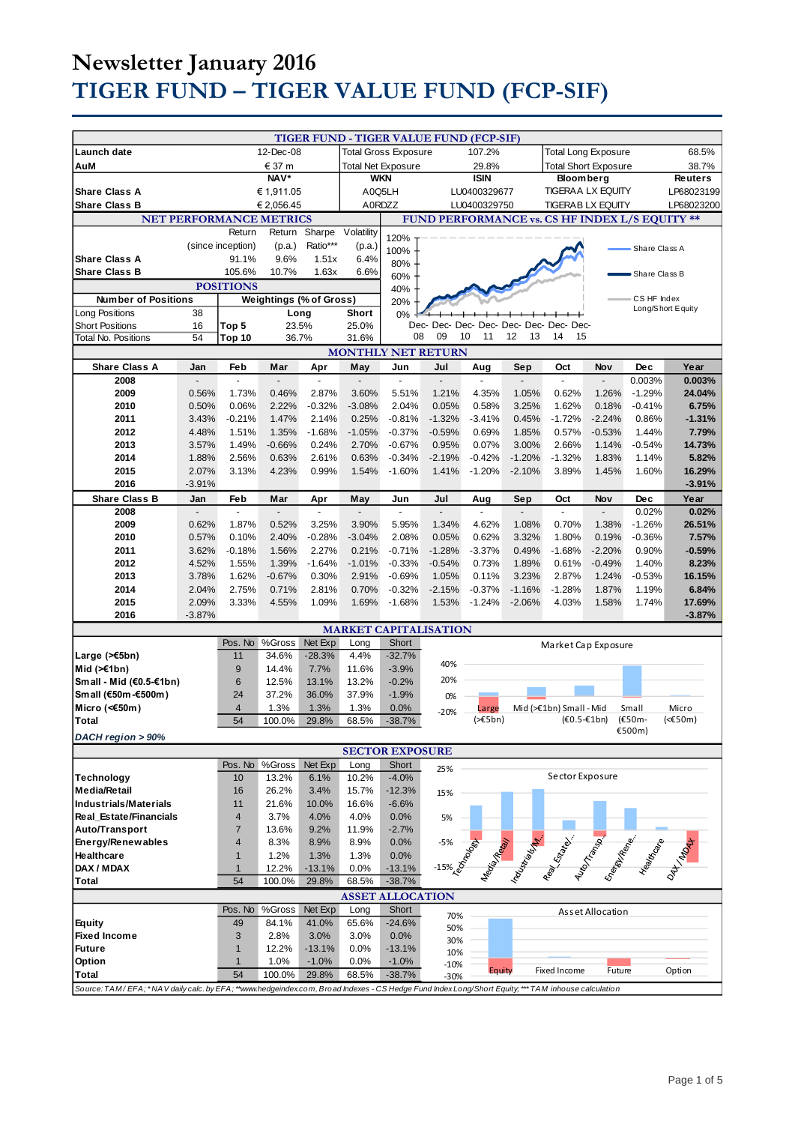# **Newsletter January 2016 TIGER FUND – TIGER VALUE FUND (FCP-SIF)**

|                                                                                                                                                    |          |                   |                                                  |                           |                |                             | TIGER FUND - TIGER VALUE FUND (FCP-SIF)             |                  |                                                           |                                                                                                                 |                  |               |                   |
|----------------------------------------------------------------------------------------------------------------------------------------------------|----------|-------------------|--------------------------------------------------|---------------------------|----------------|-----------------------------|-----------------------------------------------------|------------------|-----------------------------------------------------------|-----------------------------------------------------------------------------------------------------------------|------------------|---------------|-------------------|
| <b>Launch date</b>                                                                                                                                 |          |                   | 12-Dec-08                                        |                           |                | <b>Total Gross Exposure</b> |                                                     | 107.2%           |                                                           |                                                                                                                 |                  |               | 68.5%             |
| AuM                                                                                                                                                | € 37 m   |                   |                                                  | <b>Total Net Exposure</b> |                |                             | 29.8%                                               |                  | <b>Total Long Exposure</b><br><b>Total Short Exposure</b> |                                                                                                                 |                  | 38.7%         |                   |
| NAV*                                                                                                                                               |          |                   | <b>WKN</b>                                       |                           |                | <b>ISIN</b>                 |                                                     | <b>Bloomberg</b> |                                                           |                                                                                                                 | Reuters          |               |                   |
| <b>Share Class A</b>                                                                                                                               |          |                   |                                                  |                           |                |                             |                                                     |                  |                                                           |                                                                                                                 | LP68023199       |               |                   |
| € 1,911.05                                                                                                                                         |          |                   | A0Q5LH<br>LU0400329677<br>A0RDZZ<br>LU0400329750 |                           |                |                             | <b>TIGERAA LX EQUITY</b><br><b>TIGERABLX EQUITY</b> |                  |                                                           |                                                                                                                 |                  |               |                   |
| <b>Share Class B</b>                                                                                                                               |          |                   | € 2,056.45                                       |                           |                |                             |                                                     |                  |                                                           |                                                                                                                 |                  |               | LP68023200        |
|                                                                                                                                                    |          |                   | <b>NET PERFORMANCE METRICS</b>                   |                           |                |                             |                                                     |                  |                                                           | FUND PERFORMANCE vs. CS HF INDEX L/S EQUITY **                                                                  |                  |               |                   |
|                                                                                                                                                    |          | Return            | Return                                           | Sharpe                    | Volatility     | 120%                        |                                                     |                  |                                                           |                                                                                                                 |                  |               |                   |
|                                                                                                                                                    |          | (since inception) | (p.a.)                                           | Ratio***                  | (p.a.)         | 100%                        |                                                     |                  |                                                           |                                                                                                                 |                  | Share Class A |                   |
| <b>Share Class A</b>                                                                                                                               |          | 91.1%             | 9.6%                                             | 1.51x                     | 6.4%           | 80%                         |                                                     |                  |                                                           |                                                                                                                 |                  |               |                   |
| <b>Share Class B</b>                                                                                                                               |          | 105.6%            | 10.7%                                            | 1.63x                     | 6.6%           | 60%                         |                                                     |                  |                                                           |                                                                                                                 |                  | Share Class B |                   |
|                                                                                                                                                    |          | <b>POSITIONS</b>  |                                                  |                           |                | 40%                         |                                                     |                  |                                                           |                                                                                                                 |                  |               |                   |
| <b>Number of Positions</b>                                                                                                                         |          |                   | Weightings (% of Gross)                          |                           |                | 20%                         |                                                     |                  |                                                           |                                                                                                                 |                  | CS HF Index   |                   |
| Long Positions                                                                                                                                     | 38       |                   | Long                                             |                           | Short          | 0%                          |                                                     |                  |                                                           |                                                                                                                 |                  |               | Long/Short Equity |
| <b>Short Positions</b>                                                                                                                             | 16       | Top 5             | 23.5%                                            |                           | 25.0%          |                             |                                                     |                  |                                                           | Dec- Dec- Dec- Dec- Dec- Dec- Dec- Dec-                                                                         |                  |               |                   |
| <b>Total No. Positions</b>                                                                                                                         | 54       | Top 10            | 36.7%                                            |                           | 31.6%          | 08                          | 09                                                  | 11<br>10         | 12<br>13                                                  | 14<br>15                                                                                                        |                  |               |                   |
| <b>MONTHLY NET RETURN</b>                                                                                                                          |          |                   |                                                  |                           |                |                             |                                                     |                  |                                                           |                                                                                                                 |                  |               |                   |
| <b>Share Class A</b>                                                                                                                               | Jan      | Feb               | Mar                                              | Apr                       | May            | Jun                         | Jul                                                 | Aug              | Sep                                                       | Oct                                                                                                             | Nov              | <b>Dec</b>    | Year              |
| 2008                                                                                                                                               |          | $\overline{a}$    |                                                  |                           | $\overline{a}$ | $\overline{a}$              |                                                     |                  |                                                           | $\overline{a}$                                                                                                  |                  | 0.003%        | 0.003%            |
| 2009                                                                                                                                               | 0.56%    | 1.73%             | 0.46%                                            | 2.87%                     | 3.60%          | 5.51%                       | 1.21%                                               | 4.35%            | 1.05%                                                     | 0.62%                                                                                                           | 1.26%            | $-1.29%$      | 24.04%            |
| 2010                                                                                                                                               | 0.50%    | 0.06%             | 2.22%                                            | $-0.32%$                  | $-3.08%$       | 2.04%                       | 0.05%                                               | 0.58%            | 3.25%                                                     | 1.62%                                                                                                           | 0.18%            | $-0.41%$      | 6.75%             |
| 2011                                                                                                                                               | 3.43%    | $-0.21%$          | 1.47%                                            | 2.14%                     | 0.25%          | $-0.81%$                    | $-1.32%$                                            | $-3.41%$         | 0.45%                                                     | $-1.72%$                                                                                                        | $-2.24%$         | 0.86%         | $-1.31%$          |
| 2012                                                                                                                                               | 4.48%    | 1.51%             | 1.35%                                            | $-1.68%$                  | $-1.05%$       | $-0.37%$                    | $-0.59%$                                            | 0.69%            | 1.85%                                                     | 0.57%                                                                                                           | $-0.53%$         | 1.44%         | 7.79%             |
| 2013                                                                                                                                               | 3.57%    | 1.49%             | $-0.66%$                                         | 0.24%                     | 2.70%          | $-0.67%$                    | 0.95%                                               | 0.07%            | 3.00%                                                     | 2.66%                                                                                                           | 1.14%            | $-0.54%$      | 14.73%            |
| 2014                                                                                                                                               | 1.88%    | 2.56%             | 0.63%                                            | 2.61%                     | 0.63%          | $-0.34%$                    | $-2.19%$                                            | $-0.42%$         | $-1.20%$                                                  | $-1.32%$                                                                                                        | 1.83%            | 1.14%         | 5.82%             |
| 2015                                                                                                                                               | 2.07%    | 3.13%             | 4.23%                                            | 0.99%                     | 1.54%          | $-1.60%$                    | 1.41%                                               | $-1.20%$         | $-2.10%$                                                  | 3.89%                                                                                                           | 1.45%            | 1.60%         | 16.29%            |
| 2016                                                                                                                                               | $-3.91%$ |                   |                                                  |                           |                |                             |                                                     |                  |                                                           |                                                                                                                 |                  |               | $-3.91%$          |
| <b>Share Class B</b>                                                                                                                               | Jan      | Feb               | Mar                                              | Apr                       | May            | Jun                         | Jul                                                 | Aug              | Sep                                                       | Oct                                                                                                             | Nov              | Dec           | Year              |
| 2008                                                                                                                                               |          | ÷,                |                                                  |                           |                |                             |                                                     |                  |                                                           |                                                                                                                 |                  | 0.02%         | 0.02%             |
| 2009                                                                                                                                               | 0.62%    | 1.87%             | 0.52%                                            | 3.25%                     | 3.90%          | 5.95%                       | 1.34%                                               | 4.62%            | 1.08%                                                     | 0.70%                                                                                                           | 1.38%            | $-1.26%$      | 26.51%            |
| 2010                                                                                                                                               | 0.57%    | 0.10%             | 2.40%                                            | $-0.28%$                  | $-3.04%$       | 2.08%                       | 0.05%                                               | 0.62%            | 3.32%                                                     | 1.80%                                                                                                           | 0.19%            | $-0.36%$      | 7.57%             |
| 2011                                                                                                                                               | 3.62%    | $-0.18%$          | 1.56%                                            | 2.27%                     | 0.21%          | $-0.71%$                    | $-1.28%$                                            | $-3.37%$         | 0.49%                                                     | $-1.68%$                                                                                                        | $-2.20%$         | 0.90%         | $-0.59%$          |
| 2012                                                                                                                                               | 4.52%    | 1.55%             | 1.39%                                            | $-1.64%$                  | $-1.01%$       | $-0.33%$                    | $-0.54%$                                            | 0.73%            | 1.89%                                                     | 0.61%                                                                                                           | $-0.49%$         | 1.40%         | 8.23%             |
| 2013                                                                                                                                               | 3.78%    | 1.62%             | $-0.67%$                                         | 0.30%                     | 2.91%          | $-0.69%$                    | 1.05%                                               | 0.11%            | 3.23%                                                     | 2.87%                                                                                                           | 1.24%            | $-0.53%$      | 16.15%            |
| 2014                                                                                                                                               | 2.04%    | 2.75%             | 0.71%                                            | 2.81%                     | 0.70%          | $-0.32%$                    | $-2.15%$                                            | $-0.37%$         | $-1.16%$                                                  | $-1.28%$                                                                                                        | 1.87%            | 1.19%         | 6.84%             |
| 2015                                                                                                                                               | 2.09%    | 3.33%             | 4.55%                                            | 1.09%                     | 1.69%          | $-1.68%$                    | 1.53%                                               | $-1.24%$         | $-2.06%$                                                  | 4.03%                                                                                                           | 1.58%            | 1.74%         | 17.69%            |
| 2016                                                                                                                                               | $-3.87%$ |                   |                                                  |                           |                |                             |                                                     |                  |                                                           |                                                                                                                 |                  |               | $-3.87%$          |
|                                                                                                                                                    |          |                   |                                                  |                           |                |                             | <b>MARKET CAPITALISATION</b>                        |                  |                                                           |                                                                                                                 |                  |               |                   |
|                                                                                                                                                    |          | Pos. No           | %Gross                                           | Net Exp                   | Long           | Short                       |                                                     |                  |                                                           | Market Cap Exposure                                                                                             |                  |               |                   |
| Large (>€5bn)                                                                                                                                      |          | 11                | 34.6%                                            | $-28.3%$                  | 4.4%           | $-32.7%$                    |                                                     |                  |                                                           |                                                                                                                 |                  |               |                   |
| Mid $(\ge 1$ bn)                                                                                                                                   |          | 9                 | 14.4%                                            | 7.7%                      | 11.6%          | $-3.9%$                     | 40%                                                 |                  |                                                           |                                                                                                                 |                  |               |                   |
| Small - Mid (€0.5-€1bn)                                                                                                                            |          | 6                 | 12.5%                                            | 13.1%                     | 13.2%          | $-0.2%$                     | 20%                                                 |                  |                                                           |                                                                                                                 |                  |               |                   |
| Small (€50m-€500m)                                                                                                                                 |          | 24                | 37.2%                                            | 36.0%                     | 37.9%          | $-1.9%$                     | 0%                                                  |                  |                                                           |                                                                                                                 |                  |               |                   |
| Micro (<€50m)                                                                                                                                      |          | $\overline{4}$    | 1.3%                                             | 1.3%                      | 1.3%           | 0.0%                        | $-20%$                                              | Large            |                                                           | Mid (>€1bn) Small - Mid                                                                                         |                  | Small         | Micro             |
| <b>Total</b>                                                                                                                                       |          | 54                | 100.0%                                           | 29.8%                     | 68.5%          | $-38.7\%$                   |                                                     | (565bn)          |                                                           | $(60.5 - 16n)$                                                                                                  |                  | (€50m-        | (<€50m)           |
| DACH region > 90%                                                                                                                                  |          |                   |                                                  |                           |                |                             |                                                     |                  |                                                           |                                                                                                                 |                  | €500m)        |                   |
|                                                                                                                                                    |          |                   |                                                  |                           |                | <b>SECTOR EXPOSURE</b>      |                                                     |                  |                                                           |                                                                                                                 |                  |               |                   |
|                                                                                                                                                    |          | Pos. No           | %Gross                                           | Net Exp                   | Long           | Short                       | 25%                                                 |                  |                                                           |                                                                                                                 |                  |               |                   |
| <b>Technology</b>                                                                                                                                  |          | 10                | 13.2%                                            | 6.1%                      | 10.2%          | $-4.0%$                     |                                                     |                  |                                                           | Sector Exposure                                                                                                 |                  |               |                   |
| <b>Media/Retail</b>                                                                                                                                |          | 16                | 26.2%                                            | 3.4%                      | 15.7%          | $-12.3%$                    | 15%                                                 |                  |                                                           |                                                                                                                 |                  |               |                   |
| <b>Industrials/Materials</b>                                                                                                                       |          | 11                | 21.6%                                            | 10.0%                     | 16.6%          | $-6.6%$                     |                                                     |                  |                                                           |                                                                                                                 |                  |               |                   |
| Real Estate/Financials                                                                                                                             |          | 4                 | 3.7%                                             | 4.0%                      | 4.0%           | 0.0%                        | 5%                                                  |                  |                                                           |                                                                                                                 |                  |               |                   |
| Auto/Transport                                                                                                                                     |          | $\overline{7}$    | 13.6%                                            | 9.2%                      | 11.9%          | $-2.7%$                     |                                                     |                  |                                                           |                                                                                                                 |                  |               |                   |
| Energy/Renewables                                                                                                                                  |          | $\overline{4}$    | 8.3%                                             | 8.9%                      | 8.9%           | 0.0%                        |                                                     |                  |                                                           |                                                                                                                 |                  |               |                   |
| Healthcare                                                                                                                                         |          | $\mathbf{1}$      | 1.2%                                             | 1.3%                      | 1.3%           | 0.0%                        |                                                     |                  |                                                           |                                                                                                                 |                  |               |                   |
| DAX / MDAX                                                                                                                                         |          | $\mathbf{1}$      | 12.2%                                            | $-13.1%$                  | 0.0%           | $-13.1%$                    |                                                     |                  |                                                           | Manufacture Richard Richard Branch Contractor Contractor Contractor Contractor Contractor Contractor Contractor |                  |               |                   |
| <b>Total</b>                                                                                                                                       |          | 54                | 100.0%                                           | 29.8%                     | 68.5%          | $-38.7%$                    | -15% 26-000                                         |                  |                                                           |                                                                                                                 |                  |               |                   |
|                                                                                                                                                    |          |                   |                                                  |                           |                | <b>ASSET ALLOCATION</b>     |                                                     |                  |                                                           |                                                                                                                 |                  |               |                   |
|                                                                                                                                                    |          | Pos. No           | %Gross                                           | Net Exp                   | Long           | Short                       |                                                     |                  |                                                           |                                                                                                                 | Asset Allocation |               |                   |
| <b>Equity</b>                                                                                                                                      |          | 49                | 84.1%                                            | 41.0%                     | 65.6%          | $-24.6%$                    | 70%                                                 |                  |                                                           |                                                                                                                 |                  |               |                   |
| <b>Fixed Income</b>                                                                                                                                |          | 3                 | 2.8%                                             | 3.0%                      | 3.0%           | 0.0%                        | 50%                                                 |                  |                                                           |                                                                                                                 |                  |               |                   |
| <b>Future</b>                                                                                                                                      |          | $\mathbf{1}$      | 12.2%                                            | $-13.1%$                  | 0.0%           | $-13.1%$                    | 30%                                                 |                  |                                                           |                                                                                                                 |                  |               |                   |
| Option                                                                                                                                             |          | $\mathbf{1}$      | 1.0%                                             | $-1.0%$                   | 0.0%           | $-1.0%$                     | 10%<br>$-10%$                                       |                  |                                                           |                                                                                                                 |                  |               |                   |
| <b>Total</b>                                                                                                                                       |          | 54                | 100.0%                                           | 29.8%                     | 68.5%          | $-38.7%$                    | $-30%$                                              | Equity           |                                                           | Fixed Income                                                                                                    | Future           |               | Option            |
| Source: TAM/EFA; *NAV daily calc. by EFA; **www.hedgeindex.com, Broad Indexes - CS Hedge Fund Index Long/Short Equity; *** TAM inhouse calculation |          |                   |                                                  |                           |                |                             |                                                     |                  |                                                           |                                                                                                                 |                  |               |                   |
|                                                                                                                                                    |          |                   |                                                  |                           |                |                             |                                                     |                  |                                                           |                                                                                                                 |                  |               |                   |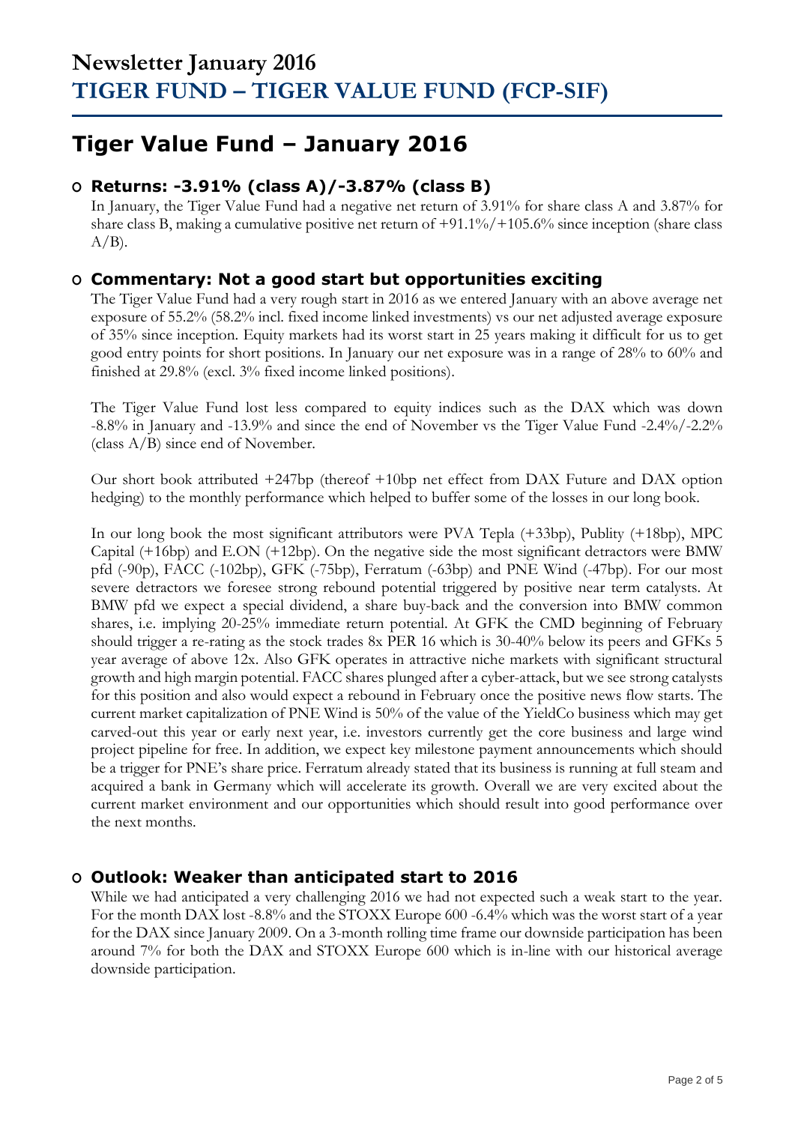## **Tiger Value Fund – January 2016**

### **O Returns: -3.91% (class A)/-3.87% (class B)**

In January, the Tiger Value Fund had a negative net return of 3.91% for share class A and 3.87% for share class B, making a cumulative positive net return of +91.1%/+105.6% since inception (share class  $A/B$ ).

### **O Commentary: Not a good start but opportunities exciting**

The Tiger Value Fund had a very rough start in 2016 as we entered January with an above average net exposure of 55.2% (58.2% incl. fixed income linked investments) vs our net adjusted average exposure of 35% since inception. Equity markets had its worst start in 25 years making it difficult for us to get good entry points for short positions. In January our net exposure was in a range of 28% to 60% and finished at 29.8% (excl. 3% fixed income linked positions).

The Tiger Value Fund lost less compared to equity indices such as the DAX which was down -8.8% in January and -13.9% and since the end of November vs the Tiger Value Fund -2.4%/-2.2% (class A/B) since end of November.

Our short book attributed +247bp (thereof +10bp net effect from DAX Future and DAX option hedging) to the monthly performance which helped to buffer some of the losses in our long book.

In our long book the most significant attributors were PVA Tepla (+33bp), Publity (+18bp), MPC Capital (+16bp) and E.ON (+12bp). On the negative side the most significant detractors were BMW pfd (-90p), FACC (-102bp), GFK (-75bp), Ferratum (-63bp) and PNE Wind (-47bp). For our most severe detractors we foresee strong rebound potential triggered by positive near term catalysts. At BMW pfd we expect a special dividend, a share buy-back and the conversion into BMW common shares, i.e. implying 20-25% immediate return potential. At GFK the CMD beginning of February should trigger a re-rating as the stock trades 8x PER 16 which is 30-40% below its peers and GFKs 5 year average of above 12x. Also GFK operates in attractive niche markets with significant structural growth and high margin potential. FACC shares plunged after a cyber-attack, but we see strong catalysts for this position and also would expect a rebound in February once the positive news flow starts. The current market capitalization of PNE Wind is 50% of the value of the YieldCo business which may get carved-out this year or early next year, i.e. investors currently get the core business and large wind project pipeline for free. In addition, we expect key milestone payment announcements which should be a trigger for PNE's share price. Ferratum already stated that its business is running at full steam and acquired a bank in Germany which will accelerate its growth. Overall we are very excited about the current market environment and our opportunities which should result into good performance over the next months.

### **O Outlook: Weaker than anticipated start to 2016**

While we had anticipated a very challenging 2016 we had not expected such a weak start to the year. For the month DAX lost -8.8% and the STOXX Europe 600 -6.4% which was the worst start of a year for the DAX since January 2009. On a 3-month rolling time frame our downside participation has been around 7% for both the DAX and STOXX Europe 600 which is in-line with our historical average downside participation.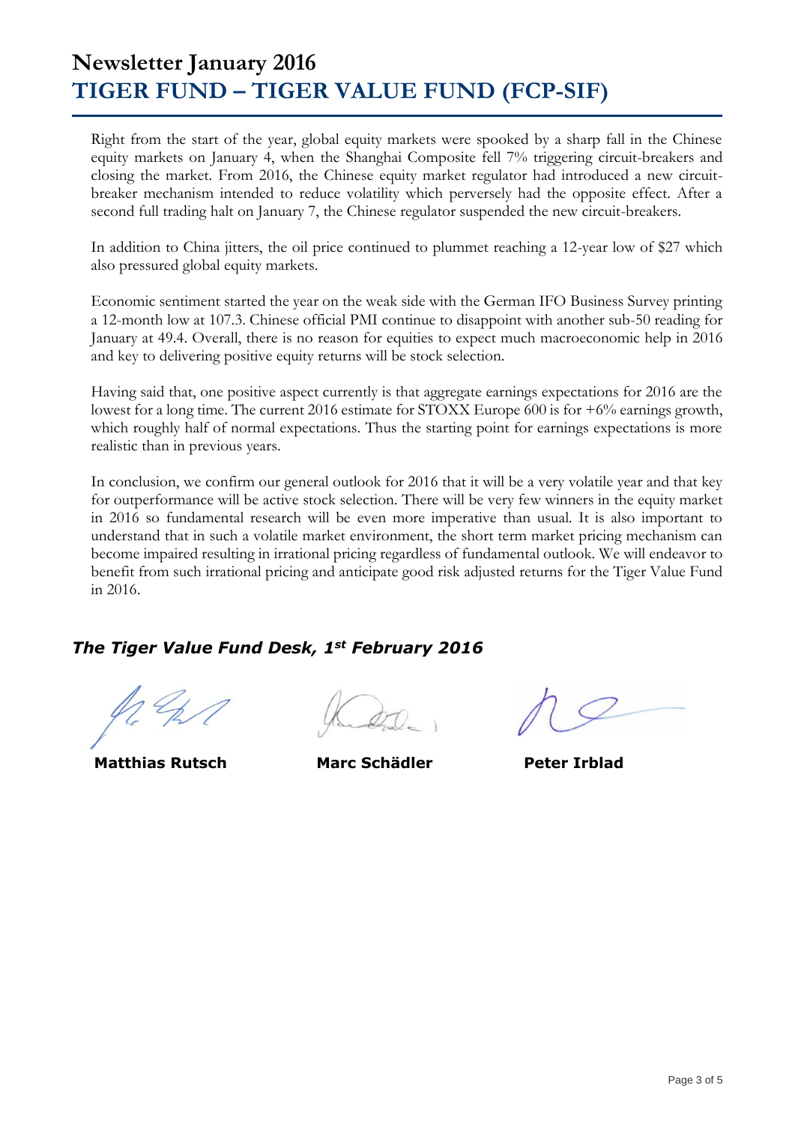## **Newsletter January 2016 TIGER FUND – TIGER VALUE FUND (FCP-SIF)**

Right from the start of the year, global equity markets were spooked by a sharp fall in the Chinese equity markets on January 4, when the Shanghai Composite fell 7% triggering circuit-breakers and closing the market. From 2016, the Chinese equity market regulator had introduced a new circuitbreaker mechanism intended to reduce volatility which perversely had the opposite effect. After a second full trading halt on January 7, the Chinese regulator suspended the new circuit-breakers.

In addition to China jitters, the oil price continued to plummet reaching a 12-year low of \$27 which also pressured global equity markets.

Economic sentiment started the year on the weak side with the German IFO Business Survey printing a 12-month low at 107.3. Chinese official PMI continue to disappoint with another sub-50 reading for January at 49.4. Overall, there is no reason for equities to expect much macroeconomic help in 2016 and key to delivering positive equity returns will be stock selection.

Having said that, one positive aspect currently is that aggregate earnings expectations for 2016 are the lowest for a long time. The current 2016 estimate for STOXX Europe 600 is for +6% earnings growth, which roughly half of normal expectations. Thus the starting point for earnings expectations is more realistic than in previous years.

In conclusion, we confirm our general outlook for 2016 that it will be a very volatile year and that key for outperformance will be active stock selection. There will be very few winners in the equity market in 2016 so fundamental research will be even more imperative than usual. It is also important to understand that in such a volatile market environment, the short term market pricing mechanism can become impaired resulting in irrational pricing regardless of fundamental outlook. We will endeavor to benefit from such irrational pricing and anticipate good risk adjusted returns for the Tiger Value Fund in 2016.

## *The Tiger Value Fund Desk, 1st February 2016*

 **Matthias Rutsch Marc Schädler Peter Irblad**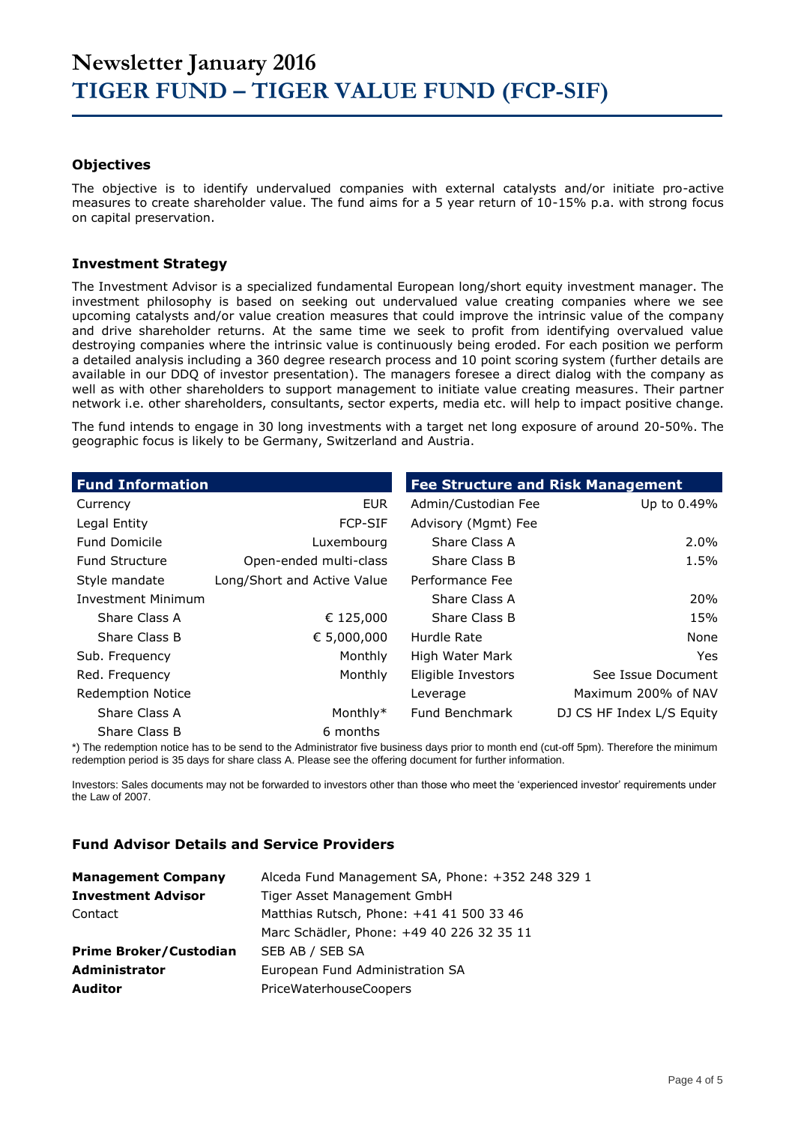#### **Objectives**

The objective is to identify undervalued companies with external catalysts and/or initiate pro-active measures to create shareholder value. The fund aims for a 5 year return of 10-15% p.a. with strong focus on capital preservation.

#### **Investment Strategy**

The Investment Advisor is a specialized fundamental European long/short equity investment manager. The investment philosophy is based on seeking out undervalued value creating companies where we see upcoming catalysts and/or value creation measures that could improve the intrinsic value of the company and drive shareholder returns. At the same time we seek to profit from identifying overvalued value destroying companies where the intrinsic value is continuously being eroded. For each position we perform a detailed analysis including a 360 degree research process and 10 point scoring system (further details are available in our DDQ of investor presentation). The managers foresee a direct dialog with the company as well as with other shareholders to support management to initiate value creating measures. Their partner network i.e. other shareholders, consultants, sector experts, media etc. will help to impact positive change.

The fund intends to engage in 30 long investments with a target net long exposure of around 20-50%. The geographic focus is likely to be Germany, Switzerland and Austria.

| <b>Fund Information</b>   |                             | <b>Fee Structure and Risk Management</b> |                           |  |  |  |
|---------------------------|-----------------------------|------------------------------------------|---------------------------|--|--|--|
| Currency                  | <b>EUR</b>                  | Admin/Custodian Fee                      | Up to 0.49%               |  |  |  |
| Legal Entity              | <b>FCP-SIF</b>              | Advisory (Mgmt) Fee                      |                           |  |  |  |
| <b>Fund Domicile</b>      | Luxembourg                  | Share Class A                            | 2.0%                      |  |  |  |
| <b>Fund Structure</b>     | Open-ended multi-class      | Share Class B                            | 1.5%                      |  |  |  |
| Style mandate             | Long/Short and Active Value | Performance Fee                          |                           |  |  |  |
| <b>Investment Minimum</b> |                             | Share Class A                            | 20%                       |  |  |  |
| Share Class A             | € 125,000                   | Share Class B                            | 15%                       |  |  |  |
| Share Class B             | € 5,000,000                 | Hurdle Rate                              | None                      |  |  |  |
| Sub. Frequency            | Monthly                     | High Water Mark                          | Yes.                      |  |  |  |
| Red. Frequency            | Monthly                     | Eligible Investors                       | See Issue Document        |  |  |  |
| <b>Redemption Notice</b>  |                             | Leverage                                 | Maximum 200% of NAV       |  |  |  |
| Share Class A             | Monthly*                    | Fund Benchmark                           | DJ CS HF Index L/S Equity |  |  |  |
| Share Class B             | 6 months                    |                                          |                           |  |  |  |

\*) The redemption notice has to be send to the Administrator five business days prior to month end (cut-off 5pm). Therefore the minimum redemption period is 35 days for share class A. Please see the offering document for further information.

Investors: Sales documents may not be forwarded to investors other than those who meet the 'experienced investor' requirements under the Law of 2007.

#### **Fund Advisor Details and Service Providers**

| <b>Management Company</b>     | Alceda Fund Management SA, Phone: +352 248 329 1 |
|-------------------------------|--------------------------------------------------|
| <b>Investment Advisor</b>     | Tiger Asset Management GmbH                      |
| Contact                       | Matthias Rutsch, Phone: +41 41 500 33 46         |
|                               | Marc Schädler, Phone: +49 40 226 32 35 11        |
| <b>Prime Broker/Custodian</b> | SEB AB / SEB SA                                  |
| Administrator                 | European Fund Administration SA                  |
| <b>Auditor</b>                | PriceWaterhouseCoopers                           |